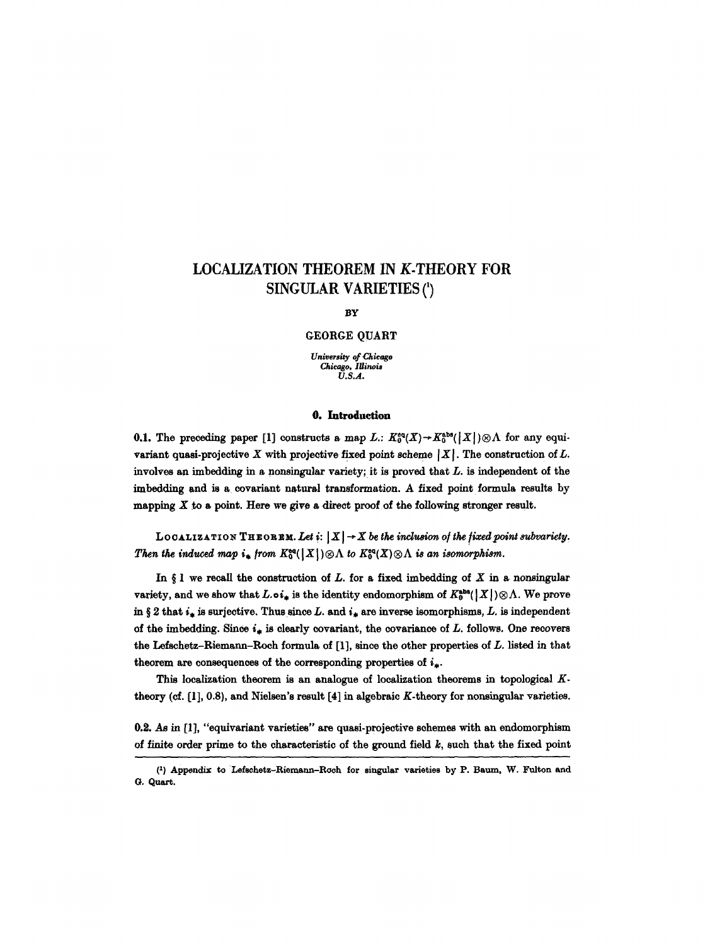# **LOCALIZATION THEOREM IN K.THEORY FOR SINGULAR VARIETIES (')**

#### **BY**

GEORGE OUART

*University of Chicago Chicago, Illinois U.S.A.* 

## O. Introduction

**0.1.** The preceding paper [1] constructs a map L.:  $K_0^{\alpha}(X) \rightarrow K_0^{\alpha b}([X]) \otimes \Lambda$  for any equivariant quasi-projective X with projective fixed point scheme  $|X|$ . The construction of L. involves an imbedding in a nonsingular variety; it is proved that L. is independent of the imbedding and is a eovariant natural transformation. A fixed point formula results by mapping  $X$  to a point. Here we give a direct proof of the following stronger result.

LOCALIZATION THEOREM. Let  $i: |X| \rightarrow X$  be the inclusion of the fixed point subvariety. *Then the induced map*  $i_*$  *from*  $K_0^{\text{eq}}(|X|) \otimes \Lambda$  *to*  $K_0^{\text{eq}}(X) \otimes \Lambda$  *is an isomorphism.* 

In  $\S$  1 we recall the construction of L. for a fixed imbedding of X in a nonsingular variety, and we show that  $L.\circ i_*$  is the identity endomorphism of  $K_0^{\text{abs}}(|X|) \otimes \Lambda$ . We prove in § 2 that  $i_*$  is surjective. Thus since L. and  $i_*$  are inverse isomorphisms, L. is independent of the imbedding. Since  $i_*$  is clearly covariant, the covariance of L. follows. One recovers the Lefschetz-Riemann-Roch formula of  $[1]$ , since the other properties of  $L$ . listed in that theorem are consequences of the corresponding properties of  $i_*$ .

This localization theorem is an analogue of localization theorems in topological  $K$ theory (cf. [1], 0.8), and Nielsen's result [4] in algebraic K-theory for nonsingular varieties.

**0.2.** As in [1], "equivariant varieties" are quasi-projective schemes with an endomorphism of finite order prime to the characteristic of the ground field  $k$ , such that the fixed point

<sup>(</sup>z) Appendix to Lefschetz-Riemann-Roch for singular varieties by P. Baum, W. Fulton and O. Quart.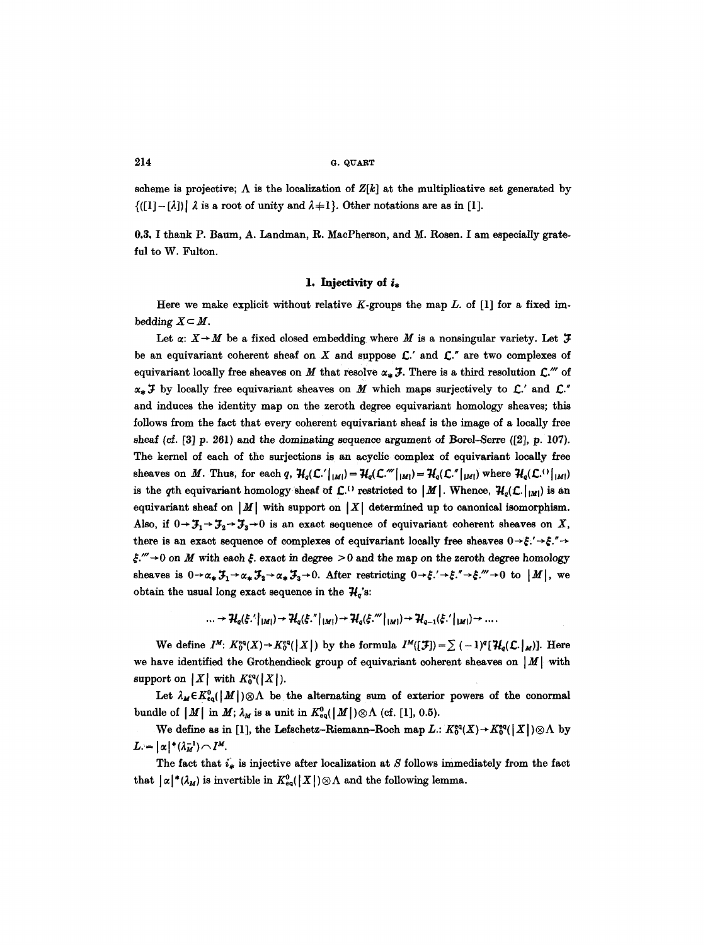### $214$  G. QUART

scheme is projective;  $\Lambda$  is the localization of  $Z[k]$  at the multiplicative set generated by  $\{([1]-[\lambda])\}\lambda$  is a root of unity and  $\lambda+1\}$ . Other notations are as in [1].

0.3. I thank P. Baum, A. Landman, R. MacPherson, and M. Rosen. I am especially grateful to W. Fulton.

#### 1. Injectivity of  $i_*$

Here we make explicit without relative K-groups the map  $L$ . of [1] for a fixed imbedding  $X \subset M$ .

Let  $\alpha: X \rightarrow M$  be a fixed closed embedding where M is a nonsingular variety. Let  $\mathcal F$ be an equivariant coherent sheaf on X and suppose  $\mathcal{L}'$  and  $\mathcal{L}''$  are two complexes of equivariant locally free sheaves on M that resolve  $\alpha_* \mathcal{F}$ . There is a third resolution  $\mathcal{L}$ ."" of  $\alpha_*$  **J** by locally free equivariant sheaves on M which maps surjectively to  $\mathcal{L}'$  and  $\mathcal{L}''$ and induces the identity map on the zeroth degree equivariant homology sheaves; this follows from the fact that every coherent equivariant sheaf is the image of a locally free sheaf (cf. [3] p. 261) and the dominating sequence argument of Borel-Serre ([2], p. 107). The kernel of each of the surjections is an acyclic complex of equivariant locally free sheaves on M. Thus, for each q,  $H_q(\mathcal{L}^{\prime}|_{[M]}) = H_q(\mathcal{L}^{\prime\prime}|_{[M]}) = H_q(\mathcal{L}^{\prime\prime}|_{[M]})$  where  $H_q(\mathcal{L}^{\prime\prime}|_{[M]})$ is the qth equivariant homology sheaf of  $C^{(1)}$  restricted to  $|M|$ . Whence,  $\mathcal{H}_q(C, |_{|M|})$  is an equivariant sheaf on  $|M|$  with support on  $|X|$  determined up to canonical isomorphism. Also, if  $0 \to \mathcal{F}_1 \to \mathcal{F}_2 \to \mathcal{F}_3 \to 0$  is an exact sequence of equivariant coherent sheaves on X, there is an exact sequence of complexes of equivariant locally free sheaves  $0 \rightarrow \xi' \rightarrow \xi'' \rightarrow$  $\zeta$ ." $\rightarrow$  0 on M with each  $\zeta$ . exact in degree  $>$  0 and the map on the zeroth degree homology sheaves is  $0\rightarrow\alpha_*\mathcal{F}_1\rightarrow\alpha_*\mathcal{F}_2\rightarrow\alpha_*\mathcal{F}_3\rightarrow 0$ . After restricting  $0\rightarrow\xi'\rightarrow\xi''\rightarrow\xi'''\rightarrow 0$  to  $|M|$ , we obtain the usual long exact sequence in the  $\mathcal{H}_{q}$ 's:

$$
\ldots \to \mathcal{H}_q(\xi')|_{|M|}) \to \mathcal{H}_q(\xi'')|_{|M|}) \to \mathcal{H}_q(\xi''')|_{|M|}) \to \mathcal{H}_{q-1}(\xi')|_{|M|}) \to \ldots
$$

We define  $I^M: K_0^{eq}(X) \to K_0^{eq}(|X|)$  by the formula  $I^M([\mathcal{F}]) = \sum_{n=1}^{\infty} (-1)^n [\mathcal{H}_q(\mathcal{L}, \{M\}].$  Here we have identified the Grothendieck group of equivariant coherent sheaves on  $|M|$  with support on  $|X|$  with  $K_0^{eq}(|X|)$ .

Let  $\lambda_M \in K^0_{\epsilon q}(|M|) \otimes \Lambda$  be the alternating sum of exterior powers of the conormal bundle of  $|M|$  in  $M$ ;  $\lambda_M$  is a unit in  $K^0_{eq}(|M|) \otimes \Lambda$  (cf. [1], 0.5).

We define as in [1], the Lefschetz-Riemann-Roch map  $L: K_0^{eq}(X) \to K_0^{eq}([X]) \otimes \Lambda$  by  $L = |\alpha|^* (\lambda_M^{-1}) \cap I^M.$ 

The fact that  $i_*$  is injective after localization at S follows immediately from the fact that  $|\alpha|^*(\lambda_M)$  is invertible in  $K^0_{eq}(|X|) \otimes \Lambda$  and the following lemma.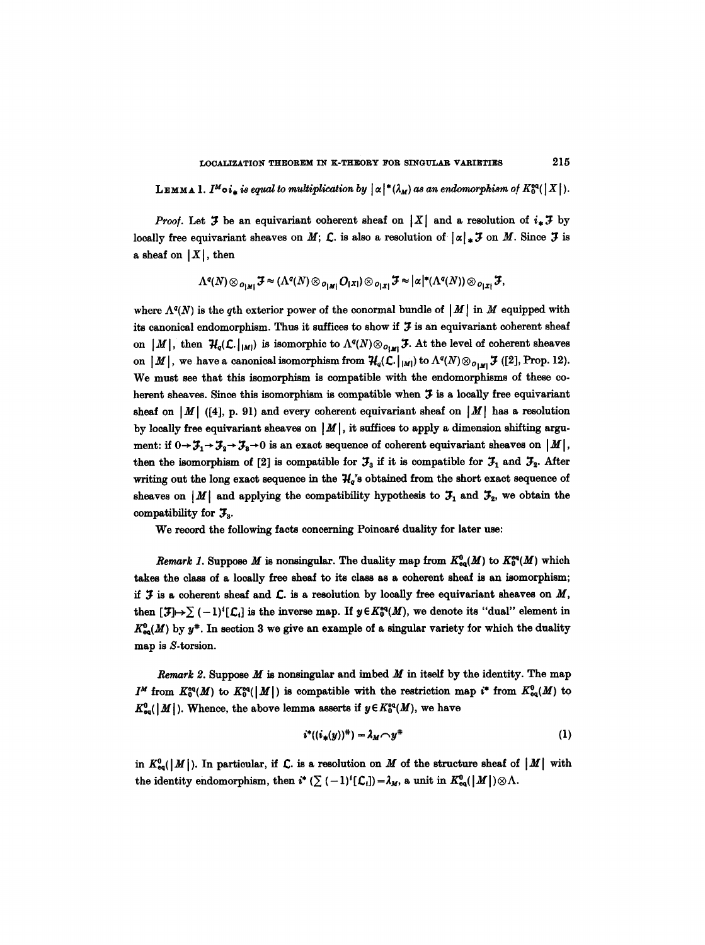LEMMA 1. *I<sup>M</sup>* oi<sub>n</sub> is equal to multiplication by  $\alpha^* (\lambda_M)$  as an endomorphism of  $K_0^{\text{eq}}(|X|)$ .

*Proof.* Let  $J$  be an equivariant coherent sheaf on  $|X|$  and a resolution of  $i_*J$  by locally free equivariant sheaves on M; C, is also a resolution of  $|\alpha|_* \mathcal{F}$  on M. Since  $\mathcal{F}$  is a sheaf on  $|X|$ , then

$$
\Lambda^{q}(N)\otimes_{|O_{|M|}} \mathcal{F} \approx (\Lambda^{q}(N)\otimes_{|O_{|M|}} O_{|X|})\otimes_{|O_{|X|}} \mathcal{F} \approx |\alpha|^{\ast}(\Lambda^{q}(N))\otimes_{|O_{|X|}} \mathcal{F},
$$

where  $\Lambda^{q}(N)$  is the qth exterior power of the conormal bundle of  $|M|$  in M equipped with its canonical endomorphism. Thus it suffices to show if  $J$  is an equivariant coherent sheaf on  $|M|$ , then  $H_q(\mathcal{L}.\vert_{|M|})$  is isomorphic to  $\Lambda^q(N)\otimes_{O_{kM}} \mathcal{F}$ . At the level of coherent sheaves on  $|M|$ , we have a canonical isomorphism from  $\mathcal{H}_q(\mathcal{L}.|_{|M|})$  to  $\Lambda^q(N) \otimes_{O_{|M|}} \mathcal{F}$  ([2], Prop. 12). We must see that this isomorphism is compatible with the endomorphisms of these coherent sheaves. Since this isomorphism is compatible when  $\mathfrak I$  is a locally free equivariant sheaf on  $|M|$  ([4], p. 91) and every coherent equivariant sheaf on  $|M|$  has a resolution by locally free equivariant sheaves on  $|M|$ , it suffices to apply a dimension shifting argument: if  $0 \rightarrow \mathcal{F}_1 \rightarrow \mathcal{F}_2 \rightarrow \mathcal{F}_3 \rightarrow 0$  is an exact sequence of coherent equivariant sheaves on  $|M|$ , then the isomorphism of [2] is compatible for  $\mathcal{F}_3$  if it is compatible for  $\mathcal{F}_1$  and  $\mathcal{F}_2$ . After writing out the long exact sequence in the  $H_q$ 's obtained from the short exact sequence of sheaves on |M| and applying the compatibility hypothesis to  $\mathfrak{I}_1$  and  $\mathfrak{I}_2$ , we obtain the compatibility for  $\mathfrak{F}_{3}$ .

We record the following facts concerning Poincaré duality for later use:

*Remark 1*. Suppose *M* is nonsingular. The duality map from  $K^0_{eq}(M)$  to  $K^{\text{eq}}_{0}(M)$  which takes the class of a locally free sheaf to its class as a coherent sheaf is an isomorphism; if  $J$  is a coherent sheaf and  $C$ . is a resolution by locally free equivariant sheaves on  $M$ , then  $[\mathcal{J}]\mapsto\sum (-1)^i [\mathcal{L}_i]$  is the inverse map. If  $y \in K_0^{\text{eq}}(M)$ , we denote its "dual" element in  $K_{\infty}^0(M)$  by  $y^*$ . In section 3 we give an example of a singular variety for which the duality map is S-torsion.

Remark 2. Suppose  $M$  is nonsingular and imbed  $M$  in itself by the identity. The map  $I^M$  from  $K^{eq}_{0}(M)$  to  $K^{eq}_{0}(|M|)$  is compatible with the restriction map  $i^*$  from  $K^{0}_{eq}(M)$  to  $K^0_{\text{eq}}(|M|)$ . Whence, the above lemma asserts if  $y \in K^{\text{eq}}_0(M)$ , we have

$$
i^*((i_*(y))^*) = \lambda_M \cap y^* \tag{1}
$$

in  $K_{eq}^0(|M|)$ . In particular, if  $\mathcal L$ . is a resolution on M of the structure sheaf of  $|M|$  with the identity endomorphism, then  $i^* (\sum (-1)^i [\mathcal{L}_i]) = \lambda_M$ , a unit in  $K^0_{eq}(|M|) \otimes \Lambda$ .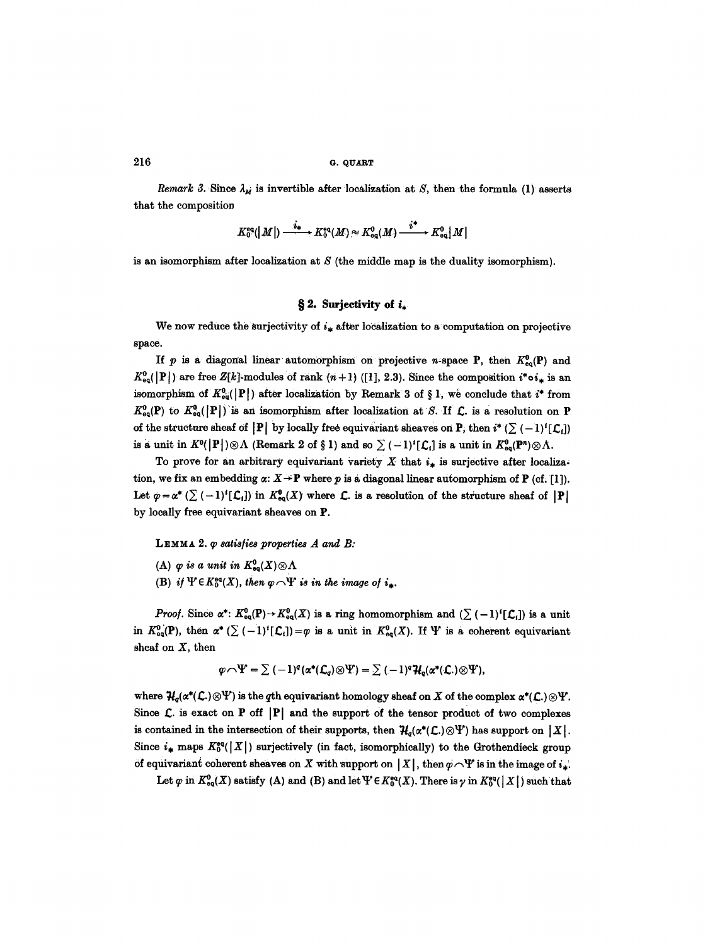$216$  G. QUART

*Remark 3.* Since  $\lambda_M$  is invertible after localization at S, then the formula (1) asserts that the composition

$$
K_0^{\text{eq}}(|M|) \xrightarrow{\phantom{aa}i_*} K_0^{\text{eq}}(M) \approx K_{\text{eq}}^0(M) \xrightarrow{\phantom{aa}i^*} K_{\text{eq}}^0|M|
$$

is an isomorphism after localization at  $S$  (the middle map is the duality isomorphism).

## § 2. Surjectivity of  $i_*$

We now reduce the surjectivity of  $i_{\star}$  after localization to a computation on projective space.

If p is a diagonal linear automorphism on projective n-space P, then  $K_{eq}^{0}(\mathbf{P})$  and  $K_{eq}^0(|P|)$  are free Z[k]-modules of rank  $(n+1)$  ([1], 2.3). Since the composition *i*\*o*i*<sub>\*</sub> is an isomorphism of  $K_{eq}^{0}(|P|)$  after localization by Remark 3 of § 1, we conclude that  $i^*$  from  $K_{\text{eq}}^0(P)$  to  $K_{\text{eq}}^0(|P|)$  is an isomorphism after localization at S. If  $\mathcal{L}$  is a resolution on P of the structure sheaf of  $|P|$  by locally free equivariant sheaves on P, then  $i^*(\sum (-1)^i [\mathcal{L}_i])$ is a unit in  $K^0(|P|) \otimes \Lambda$  (Remark 2 of § 1) and so  $\sum (-1)^i[\mathcal{L}_i]$  is a unit in  $K^0_{\text{eq}}(P^n) \otimes \Lambda$ .

To prove for an arbitrary equivariant variety X that  $i_*$  is surjective after localization, we fix an embedding  $\alpha: X \to \mathbf{P}$  where p is a diagonal linear automorphism of P (cf. [1]). Let  $\varphi = \alpha^* \left( \sum (-1)^i [\mathcal{L}_i] \right)$  in  $K^0_{eq}(X)$  where  $\mathcal{L}$ , is a resolution of the structure sheaf of  $|\mathbf{P}|$ by locally free equivariant sheaves on P.

LEMMA 2.  $\varphi$  *satisfies properties A and B:* 

- (A)  $\varphi$  is a unit in  $K^0_{\mathsf{eq}}(X)\otimes\Lambda$
- (B) *if*  $\Psi \in K_0^{eq}(X)$ , then  $\varphi \cap \Psi$  is in the image of  $i_*$ .

*Proof.* Since  $\alpha^*: K^0_{eq}(P) \to K^0_{eq}(X)$  is a ring homomorphism and  $(\sum (-1)^i [\mathcal{L}_i])$  is a unit in  $K^0_{eq}(\mathbf{P})$ , then  $\alpha^*$  ( $\sum (-1)^i [\mathcal{L}_i] = \varphi$  is a unit in  $K^0_{eq}(X)$ . If  $\Psi$  is a coherent equivariant sheaf on  $X$ , then

$$
\varphi \cap \Psi = \sum (-1)^q (\alpha^*(\mathcal{L}_q) \otimes \Psi) = \sum (-1)^q \mathcal{H}_q(\alpha^*(\mathcal{L}) \otimes \Psi),
$$

where  $\mathcal{H}_o(\alpha^*(\mathcal{L})\otimes\Psi)$  is the qth equivariant homology sheaf on X of the complex  $\alpha^*(\mathcal{L})\otimes\Psi$ . Since  $\mathcal{L}$  is exact on P off  $|P|$  and the support of the tensor product of two complexes is contained in the intersection of their supports, then  $H_q(\alpha^*(\mathcal{L}) \otimes \Psi)$  has support on  $|X|$ . Since  $i_*$  maps  $K_0^{\text{eq}}(|X|)$  surjectively (in fact, isomorphically) to the Grothendieck group of equivariant coherent sheaves on X with support on  $|X|$ , then  $\varphi \cap Y$  is in the image of  $i_*$ .

Let  $\varphi$  in  $K^0_{\text{eq}}(X)$  satisfy (A) and (B) and let  $\Psi \in K^{\text{eq}}_0(X)$ . There is  $\gamma$  in  $K^{\text{eq}}_0(\vert X \vert)$  such that